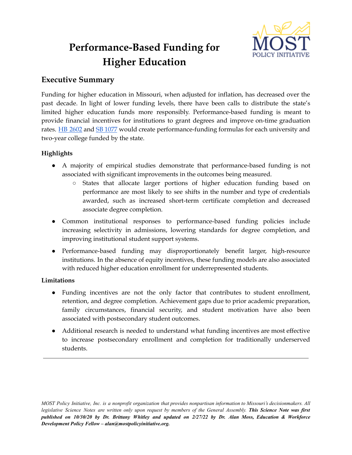

# **Performance-Based Funding for Higher Education**

## **Executive Summary**

Funding for higher education in Missouri, when adjusted for inflation, has decreased over the past decade. In light of lower funding levels, there have been calls to distribute the state's limited higher education funds more responsibly. Performance-based funding is meant to provide financial incentives for institutions to grant degrees and improve on-time graduation rates. HB [2602](https://www.house.mo.gov/Bill.aspx?bill=HB2602&year=2022&code=R) and SB [1077](https://www.senate.mo.gov/22info/BTS_Web/Bill.aspx?SessionType=R&BillID=73755339) would create performance-funding formulas for each university and two-year college funded by the state.

## **Highlights**

- A majority of empirical studies demonstrate that performance-based funding is not associated with significant improvements in the outcomes being measured.
	- States that allocate larger portions of higher education funding based on performance are most likely to see shifts in the number and type of credentials awarded, such as increased short-term certificate completion and decreased associate degree completion.
- Common institutional responses to performance-based funding policies include increasing selectivity in admissions, lowering standards for degree completion, and improving institutional student support systems.
- Performance-based funding may disproportionately benefit larger, high-resource institutions. In the absence of equity incentives, these funding models are also associated with reduced higher education enrollment for underrepresented students.

### **Limitations**

- Funding incentives are not the only factor that contributes to student enrollment, retention, and degree completion. Achievement gaps due to prior academic preparation, family circumstances, financial security, and student motivation have also been associated with postsecondary student outcomes.
- Additional research is needed to understand what funding incentives are most effective to increase postsecondary enrollment and completion for traditionally underserved students.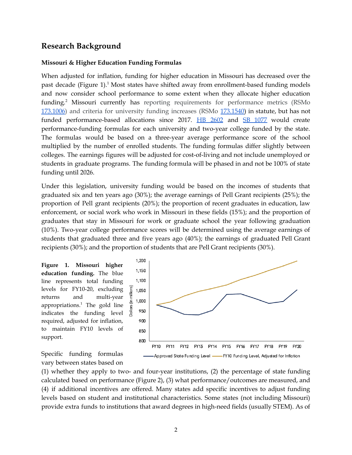#### **Research Background**

#### **Missouri & Higher Education Funding Formulas**

When adjusted for inflation, funding for higher education in Missouri has decreased over the past decade (Figure 1).<sup>1</sup> Most states have shifted away from enrollment-based funding models and now consider school performance to some extent when they allocate higher education funding. <sup>2</sup> Missouri currently has reporting requirements for performance metrics (RSMo [173.1006](https://revisor.mo.gov/main/OneSection.aspx?section=173.1006&bid=8905)) and criteria for university funding increases (RSMo [173.1540\)](https://revisor.mo.gov/main/OneSection.aspx?section=173.1540) in statute, but has not funded performance-based allocations since 2017. HB [2602](https://www.house.mo.gov/Bill.aspx?bill=HB2602&year=2022&code=R) and SB [1077](https://www.senate.mo.gov/22info/BTS_Web/Bill.aspx?SessionType=R&BillID=73755339) would create performance-funding formulas for each university and two-year college funded by the state. The formulas would be based on a three-year average performance score of the school multiplied by the number of enrolled students. The funding formulas differ slightly between colleges. The earnings figures will be adjusted for cost-of-living and not include unemployed or students in graduate programs. The funding formula will be phased in and not be 100% of state funding until 2026.

Under this legislation, university funding would be based on the incomes of students that graduated six and ten years ago (30%); the average earnings of Pell Grant recipients (25%); the proportion of Pell grant recipients (20%); the proportion of recent graduates in education, law enforcement, or social work who work in Missouri in these fields (15%); and the proportion of graduates that stay in Missouri for work or graduate school the year following graduation (10%). Two-year college performance scores will be determined using the average earnings of students that graduated three and five years ago (40%); the earnings of graduated Pell Grant recipients (30%); and the proportion of students that are Pell Grant recipients (30%).

**Figure 1. Missouri higher education funding.** The blue line represents total funding Dollars (in millions) levels for FY10-20, excluding returns and multi-year appropriations. <sup>1</sup> The gold line indicates the funding level required, adjusted for inflation, to maintain FY10 levels of support.



Specific funding formulas vary between states based on

(1) whether they apply to two- and four-year institutions, (2) the percentage of state funding calculated based on performance (Figure 2), (3) what performance/outcomes are measured, and (4) if additional incentives are offered. Many states add specific incentives to adjust funding levels based on student and institutional characteristics. Some states (not including Missouri) provide extra funds to institutions that award degrees in high-need fields (usually STEM). As of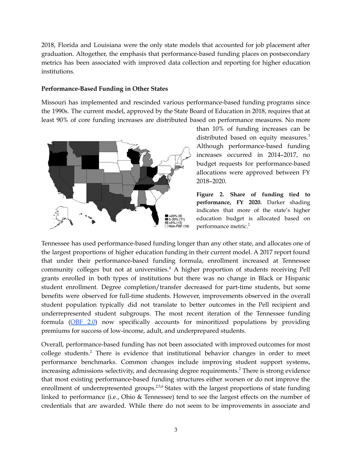2018, Florida and Louisiana were the only state models that accounted for job placement after graduation. Altogether, the emphasis that performance-based funding places on postsecondary metrics has been associated with improved data collection and reporting for higher education institutions.

#### **Performance-Based Funding in Other States**

Missouri has implemented and rescinded various performance-based funding programs since the 1990s. The current model, approved by the State Board of Education in 2018, requires that at least 90% of core funding increases are distributed based on performance measures. No more



than 10% of funding increases can be distributed based on equity measures.<sup>3</sup> Although performance-based funding increases occurred in 2014–2017, no budget requests for performance-based allocations were approved between FY 2018–2020.

**Figure 2. Share of funding tied to performance, FY 2020.** Darker shading indicates that more of the state's higher education budget is allocated based on performance metric. 2

Tennessee has used performance-based funding longer than any other state, and allocates one of the largest proportions of higher education funding in their current model. A 2017 report found that under their performance-based funding formula, enrollment increased at Tennessee community colleges but not at universities. <sup>4</sup> A higher proportion of students receiving Pell grants enrolled in both types of institutions but there was no change in Black or Hispanic student enrollment. Degree completion/transfer decreased for part-time students, but some benefits were observed for full-time students. However, improvements observed in the overall student population typically did not translate to better outcomes in the Pell recipient and underrepresented student subgroups. The most recent iteration of the Tennessee funding formula ([OBF](https://comptroller.tn.gov/office-functions/research-and-education-accountability/interactive-tools/obf.html) 2.0) now specifically accounts for minoritized populations by providing premiums for success of low-income, adult, and underprepared students.

Overall, performance-based funding has not been associated with improved outcomes for most college students. <sup>2</sup> There is evidence that institutional behavior changes in order to meet performance benchmarks. Common changes include improving student support systems, increasing admissions selectivity, and decreasing degree requirements. <sup>2</sup> There is strong evidence that most existing performance-based funding structures either worsen or do not improve the enrollment of underrepresented groups.<sup>2,5,6</sup> States with the largest proportions of state funding linked to performance (i.e., Ohio & Tennessee) tend to see the largest effects on the number of credentials that are awarded. While there do not seem to be improvements in associate and